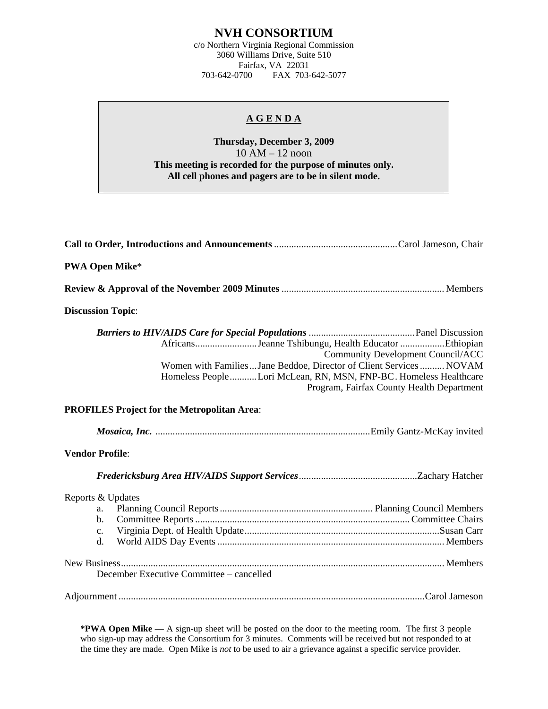## **NVH CONSORTIUM**

c/o Northern Virginia Regional Commission 3060 Williams Drive, Suite 510 Fairfax, VA 22031<br>703-642-0700 FAX 703-FAX 703-642-5077

## **A G E N D A**

## **Thursday, December 3, 2009**  10 AM – 12 noon **This meeting is recorded for the purpose of minutes only. All cell phones and pagers are to be in silent mode.**

| <b>PWA Open Mike*</b>                                 |                                                                                                                                                                                                                                                                                        |
|-------------------------------------------------------|----------------------------------------------------------------------------------------------------------------------------------------------------------------------------------------------------------------------------------------------------------------------------------------|
|                                                       |                                                                                                                                                                                                                                                                                        |
| <b>Discussion Topic:</b>                              |                                                                                                                                                                                                                                                                                        |
|                                                       | AfricansJeanne Tshibungu, Health Educator Ethiopian<br><b>Community Development Council/ACC</b><br>Women with Families Jane Beddoe, Director of Client Services NOVAM<br>Homeless PeopleLori McLean, RN, MSN, FNP-BC. Homeless Healthcare<br>Program, Fairfax County Health Department |
|                                                       | <b>PROFILES Project for the Metropolitan Area:</b>                                                                                                                                                                                                                                     |
|                                                       |                                                                                                                                                                                                                                                                                        |
| <b>Vendor Profile:</b>                                |                                                                                                                                                                                                                                                                                        |
|                                                       |                                                                                                                                                                                                                                                                                        |
| Reports & Updates<br>a.<br>b.<br>$\mathbf{c}$ .<br>d. |                                                                                                                                                                                                                                                                                        |
|                                                       | December Executive Committee – cancelled                                                                                                                                                                                                                                               |
|                                                       |                                                                                                                                                                                                                                                                                        |

**\*PWA Open Mike** — A sign-up sheet will be posted on the door to the meeting room. The first 3 people who sign-up may address the Consortium for 3 minutes. Comments will be received but not responded to at the time they are made. Open Mike is *not* to be used to air a grievance against a specific service provider.